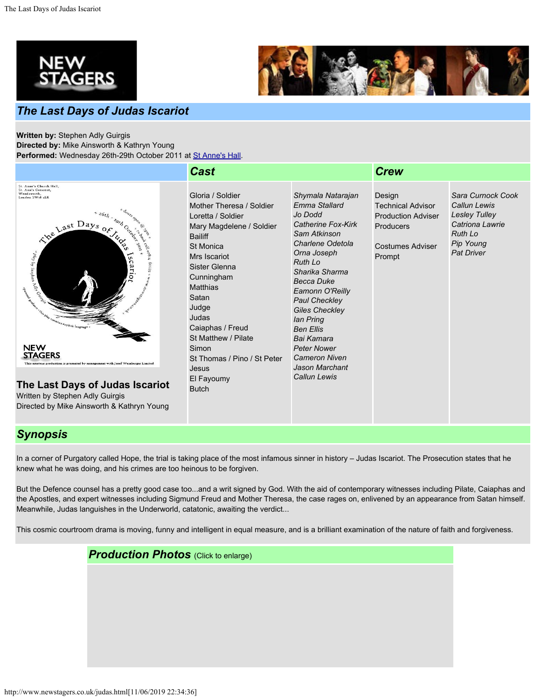



## *The Last Days of Judas Iscariot*

**Written by:** Stephen Adly Guirgis **Directed by:** Mike Ainsworth & Kathryn Young **Performed:** Wednesday 26th-29th October 2011 at [St Anne's Hall](http://www.newstagers.co.uk/directions.html).

|                                                                                                                                                                                                                                                                                                                                                                                                                                                                              | <b>Cast</b>                                                                                                                                                                                                                                                                                                                                                |                                                                                                                                                                                                                                                                                                                                                                                           | <b>Crew</b>                                                                                                              |                                                                                                                                  |
|------------------------------------------------------------------------------------------------------------------------------------------------------------------------------------------------------------------------------------------------------------------------------------------------------------------------------------------------------------------------------------------------------------------------------------------------------------------------------|------------------------------------------------------------------------------------------------------------------------------------------------------------------------------------------------------------------------------------------------------------------------------------------------------------------------------------------------------------|-------------------------------------------------------------------------------------------------------------------------------------------------------------------------------------------------------------------------------------------------------------------------------------------------------------------------------------------------------------------------------------------|--------------------------------------------------------------------------------------------------------------------------|----------------------------------------------------------------------------------------------------------------------------------|
| St. Anne's Church Hall,<br>St. Ann's Crescent,<br>Wandsworth,<br>London SW18 1LR<br>$+$ 26 $\!t_{h}$ .<br>The Last Days of<br>$^{4}$ play by Stephen I<br><b>S</b><br>n<br>Advised Country<br>in Britisher Reicher<br>e<br>$\alpha_{j_2}$ $\alpha_{j_1}$ $\alpha_{j_2}$<br>$\alpha_{j_1j_2}$ explicit language +<br><b>NEW</b><br><b>STAGERS</b><br>This amateur production is presented by arrangement with Josef Weinberger Limited<br>The Last Days of Judas Iscariot<br> | Gloria / Soldier<br>Mother Theresa / Soldier<br>Loretta / Soldier<br>Mary Magdelene / Soldier<br><b>Bailiff</b><br><b>St Monica</b><br>Mrs Iscariot<br>Sister Glenna<br>Cunningham<br><b>Matthias</b><br>Satan<br>Judge<br>Judas<br>Caiaphas / Freud<br>St Matthew / Pilate<br>Simon<br>St Thomas / Pino / St Peter<br>Jesus<br>El Fayoumy<br><b>Butch</b> | Shymala Natarajan<br>Emma Stallard<br>Jo Dodd<br>Catherine Fox-Kirk<br>Sam Atkinson<br>Charlene Odetola<br>Orna Joseph<br><b>Ruth Lo</b><br>Sharika Sharma<br><b>Becca Duke</b><br>Eamonn O'Reilly<br><b>Paul Checkley</b><br><b>Giles Checkley</b><br>lan Pring<br><b>Ben Ellis</b><br>Bai Kamara<br><b>Peter Nower</b><br><b>Cameron Niven</b><br>Jason Marchant<br><b>Callun Lewis</b> | Design<br><b>Technical Advisor</b><br><b>Production Adviser</b><br><b>Producers</b><br><b>Costumes Adviser</b><br>Prompt | Sara Curnock Cook<br>Callun Lewis<br><b>Lesley Tulley</b><br>Catriona Lawrie<br><b>Ruth Lo</b><br>Pip Young<br><b>Pat Driver</b> |

## *Synopsis*

In a corner of Purgatory called Hope, the trial is taking place of the most infamous sinner in history – Judas Iscariot. The Prosecution states that he knew what he was doing, and his crimes are too heinous to be forgiven.

But the Defence counsel has a pretty good case too...and a writ signed by God. With the aid of contemporary witnesses including Pilate, Caiaphas and the Apostles, and expert witnesses including Sigmund Freud and Mother Theresa, the case rages on, enlivened by an appearance from Satan himself. Meanwhile, Judas languishes in the Underworld, catatonic, awaiting the verdict...

This cosmic courtroom drama is moving, funny and intelligent in equal measure, and is a brilliant examination of the nature of faith and forgiveness.

*Production Photos* (Click to enlarge)